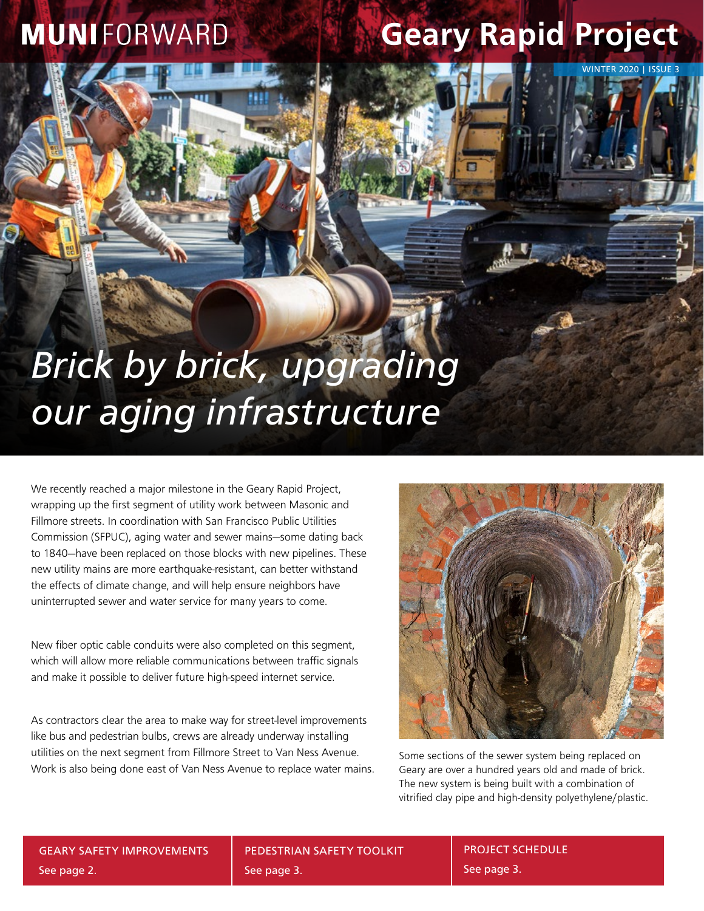### **MUNIFORWARD**

## **Geary Rapid Project**

WINTER 2020 | ISSUE 3

# *Brick by brick, upgrading our aging infrastructure*

**PROJECT**

We recently reached a major milestone in the Geary Rapid Project, wrapping up the first segment of utility work between Masonic and Fillmore streets. In coordination with San Francisco Public Utilities Commission (SFPUC), aging water and sewer mains—some dating back to 1840—have been replaced on those blocks with new pipelines. These new utility mains are more earthquake-resistant, can better withstand the effects of climate change, and will help ensure neighbors have uninterrupted sewer and water service for many years to come.

New fiber optic cable conduits were also completed on this segment, which will allow more reliable communications between traffic signals and make it possible to deliver future high-speed internet service.

As contractors clear the area to make way for street-level improvements like bus and pedestrian bulbs, crews are already underway installing utilities on the next segment from Fillmore Street to Van Ness Avenue. Work is also being done east of Van Ness Avenue to replace water mains.



Some sections of the sewer system being replaced on Geary are over a hundred years old and made of brick. The new system is being built with a combination of vitrified clay pipe and high-density polyethylene/plastic.

GEARY SAFETY IMPROVEMENTS See page 2.

PEDESTRIAN SAFETY TOOLKIT See page 3.

PROJECT SCHEDULE See page 3.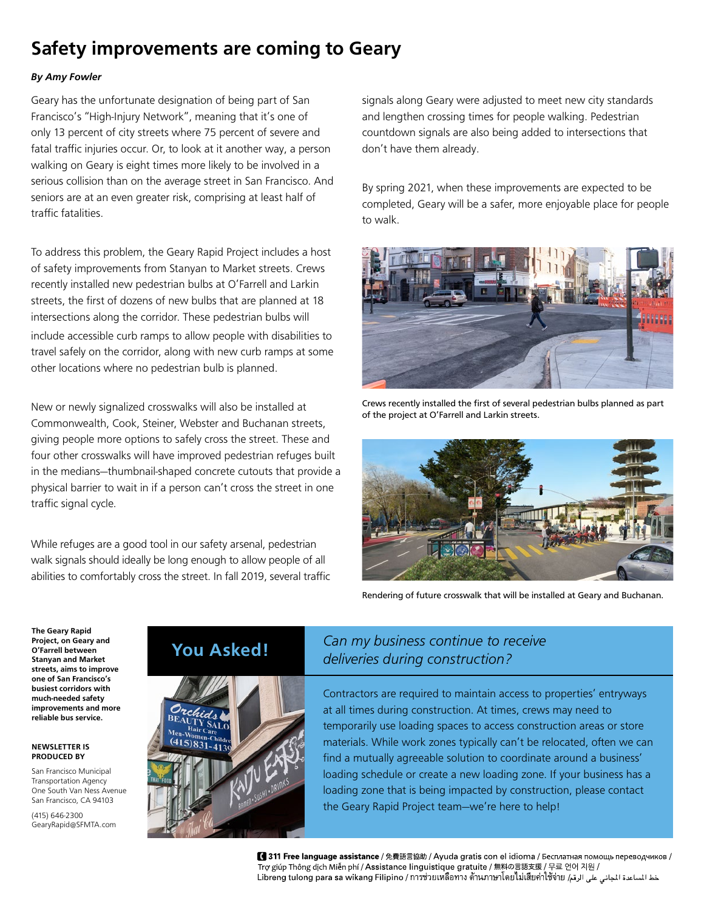### **Safety improvements are coming to Geary**

#### *By Amy Fowler*

Geary has the unfortunate designation of being part of San Francisco's "High-Injury Network", meaning that it's one of only 13 percent of city streets where 75 percent of severe and fatal traffic injuries occur. Or, to look at it another way, a person walking on Geary is eight times more likely to be involved in a serious collision than on the average street in San Francisco. And seniors are at an even greater risk, comprising at least half of traffic fatalities.

To address this problem, the Geary Rapid Project includes a host of safety improvements from Stanyan to Market streets. Crews recently installed new pedestrian bulbs at O'Farrell and Larkin streets, the first of dozens of new bulbs that are planned at 18 intersections along the corridor. These pedestrian bulbs will include accessible curb ramps to allow people with disabilities to travel safely on the corridor, along with new curb ramps at some other locations where no pedestrian bulb is planned.

New or newly signalized crosswalks will also be installed at Commonwealth, Cook, Steiner, Webster and Buchanan streets, giving people more options to safely cross the street. These and four other crosswalks will have improved pedestrian refuges built in the medians—thumbnail-shaped concrete cutouts that provide a physical barrier to wait in if a person can't cross the street in one traffic signal cycle.

While refuges are a good tool in our safety arsenal, pedestrian walk signals should ideally be long enough to allow people of all abilities to comfortably cross the street. In fall 2019, several traffic signals along Geary were adjusted to meet new city standards and lengthen crossing times for people walking. Pedestrian countdown signals are also being added to intersections that don't have them already.

By spring 2021, when these improvements are expected to be completed, Geary will be a safer, more enjoyable place for people to walk.



Crews recently installed the first of several pedestrian bulbs planned as part of the project at O'Farrell and Larkin streets.



Rendering of future crosswalk that will be installed at Geary and Buchanan.

**The Geary Rapid Project, on Geary and O'Farrell between Stanyan and Market streets, aims to improve one of San Francisco's busiest corridors with much-needed safety improvements and more reliable bus service.**

#### **NEWSLETTER IS PRODUCED BY**

San Francisco Municipal Transportation Agency One South Van Ness Avenue San Francisco, CA 94103

(415) 646-2300 GearyRapid@SFMTA.com



### **You Asked!** *Can my business continue to receive deliveries during construction?*

Contractors are required to maintain access to properties' entryways at all times during construction. At times, crews may need to temporarily use loading spaces to access construction areas or store materials. While work zones typically can't be relocated, often we can find a mutually agreeable solution to coordinate around a business' loading schedule or create a new loading zone. If your business has a loading zone that is being impacted by construction, please contact the Geary Rapid Project team—we're here to help!

【 311 Free language assistance / 免費語言協助 / Ayuda gratis con el idioma / Бесплатная помощь переводчиков / Trợ giúp Thông dịch Miễn phí / Assistance linguistique gratuite / 無料の言語支援 / 무료 언어 지원 / خط المساعدة المجانى على الرقم / Libreng tulong para sa wikang Filipino / การช่วยเหลือทาง ด้านภาษาโดยไม่เสียค่าไซ้จ่าย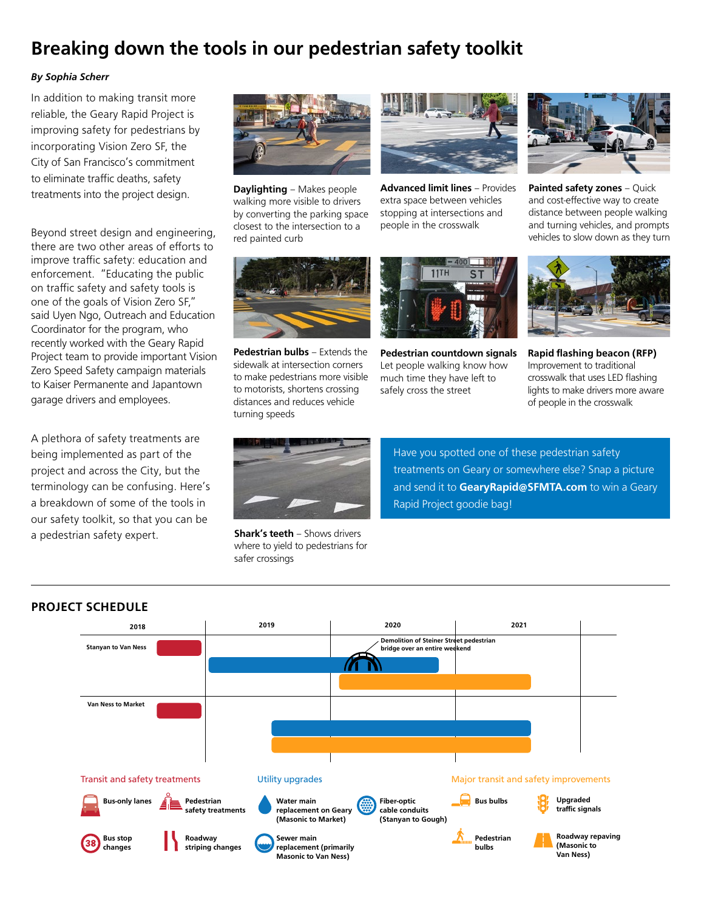### **Breaking down the tools in our pedestrian safety toolkit**

#### *By Sophia Scherr*

In addition to making transit more reliable, the Geary Rapid Project is improving safety for pedestrians by incorporating Vision Zero SF, the City of San Francisco's commitment to eliminate traffic deaths, safety treatments into the project design.

Beyond street design and engineering, there are two other areas of efforts to improve traffic safety: education and enforcement. "Educating the public on traffic safety and safety tools is one of the goals of Vision Zero SF," said Uyen Ngo, Outreach and Education Coordinator for the program, who recently worked with the Geary Rapid Project team to provide important Vision Zero Speed Safety campaign materials to Kaiser Permanente and Japantown garage drivers and employees.

A plethora of safety treatments are being implemented as part of the project and across the City, but the terminology can be confusing. Here's a breakdown of some of the tools in our safety toolkit, so that you can be a pedestrian safety expert.



**Daylighting** – Makes people walking more visible to drivers by converting the parking space closest to the intersection to a red painted curb



**Advanced limit lines** – Provides extra space between vehicles stopping at intersections and people in the crosswalk



**Painted safety zones** – Quick and cost-effective way to create distance between people walking and turning vehicles, and prompts vehicles to slow down as they turn



**Pedestrian bulbs** – Extends the sidewalk at intersection corners to make pedestrians more visible to motorists, shortens crossing distances and reduces vehicle turning speeds



**Pedestrian countdown signals**  Let people walking know how much time they have left to safely cross the street



**Rapid flashing beacon (RFP)**  Improvement to traditional crosswalk that uses LED flashing lights to make drivers more aware of people in the crosswalk



**Shark's teeth** – Shows drivers where to yield to pedestrians for safer crossings

Have you spotted one of these pedestrian safety treatments on Geary or somewhere else? Snap a picture and send it to **GearyRapid@SFMTA.com** to win a Geary Rapid Project goodie bag!



#### **PROJECT SCHEDULE**